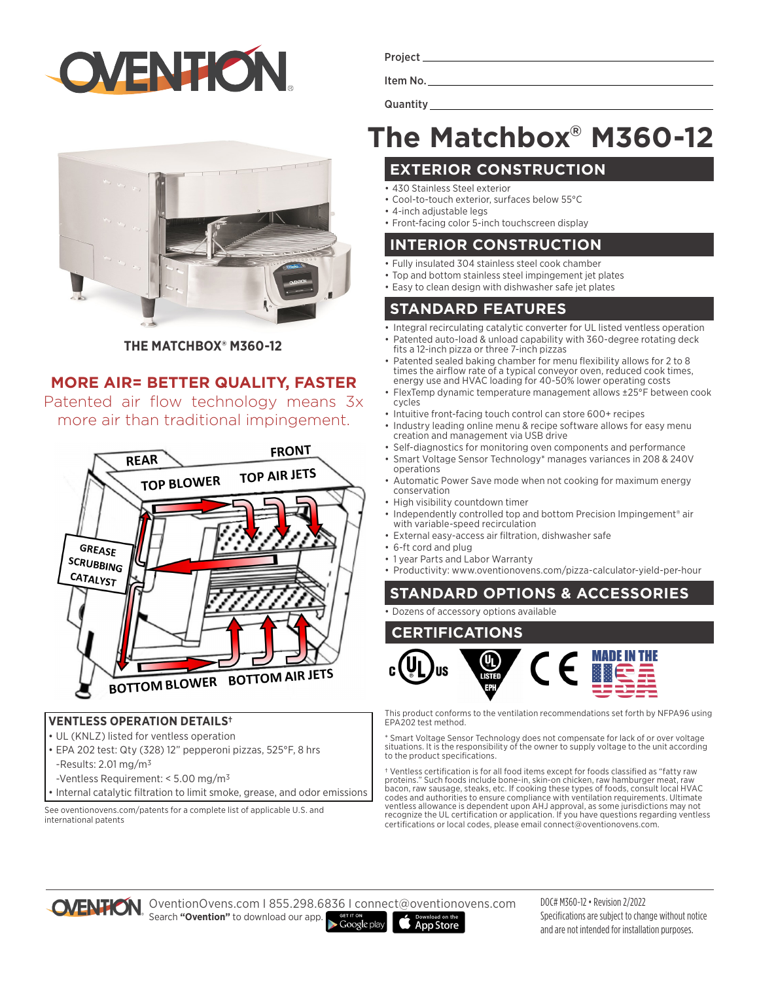



**THE MATCHBOX® M360-12**

### **MORE AIR= BETTER QUALITY, FASTER**

Patented air flow technology means 3x more air than traditional impingement.



#### **VENTLESS OPERATION DETAILS†**

- UL (KNLZ) listed for ventless operation
- EPA 202 test: Qty (328) 12" pepperoni pizzas, 525°F, 8 hrs -Results:  $2.01 \,\mathrm{mg/m^3}$
- -Ventless Requirement: < 5.00 mg/m3
- Internal catalytic filtration to limit smoke, grease, and odor emissions

See oventionovens.com/patents for a complete list of applicable U.S. and international patents

|--|--|

Item No.

**Quantity** 

## **The Matchbox® M360-12**

#### **EXTERIOR CONSTRUCTION**

- 430 Stainless Steel exterior
- Cool-to-touch exterior, surfaces below 55°C
- 4-inch adjustable legs
- Front-facing color 5-inch touchscreen display

#### **INTERIOR CONSTRUCTION**

- Fully insulated 304 stainless steel cook chamber
- Top and bottom stainless steel impingement jet plates
- Easy to clean design with dishwasher safe jet plates

#### **STANDARD FEATURES**

- Integral recirculating catalytic converter for UL listed ventless operation
- Patented auto-load & unload capability with 360-degree rotating deck fits a 12-inch pizza or three 7-inch pizzas
- Patented sealed baking chamber for menu flexibility allows for 2 to 8 times the airflow rate of a typical conveyor oven, reduced cook times, energy use and HVAC loading for 40-50% lower operating costs
- FlexTemp dynamic temperature management allows ±25°F between cook cycles
- Intuitive front-facing touch control can store 600+ recipes
- Industry leading online menu & recipe software allows for easy menu creation and management via USB drive
- Self-diagnostics for monitoring oven components and performance • Smart Voltage Sensor Technology\* manages variances in 208 & 240V operations
- Automatic Power Save mode when not cooking for maximum energy conservation
- High visibility countdown timer
- Independently controlled top and bottom Precision Impingement<sup>®</sup> air with variable-speed recirculation
- External easy-access air filtration, dishwasher safe
- 6-ft cord and plug
- 1 year Parts and Labor Warranty
- Productivity: www.oventionovens.com/pizza-calculator-yield-per-hour

#### **STANDARD OPTIONS & ACCESSORIES**

#### • Dozens of accessory options available



This product conforms to the ventilation recommendations set forth by NFPA96 using EPA202 test method.

\* Smart Voltage Sensor Technology does not compensate for lack of or over voltage situations. It is the responsibility of the owner to supply voltage to the unit according to the product specifications.

† Ventless certification is for all food items except for foods classified as "fatty raw proteins." Such foods include bone-in, skin-on chicken, raw hamburger meat, raw<br>bacon, raw sausage, steaks, etc. If cooking these types of foods, consult local HVAC<br>codes and authorities to ensure compliance with ventilati ventless allowance is dependent upon AHJ approval, as some jurisdictions may not recognize the UL certification or application. If you have questions regarding ventless certifications or local codes, please email connect@oventionovens.com.



OventionOvens.com I 855.298.6836 I connect@oventionovens.com Search **"Ovention"** to download our app.  $\blacktriangleright$  Google play

**App Store** 

DOC# M360-12 • Revision 2/2022 Specifications are subject to change without notice and are not intended for installation purposes.

- 
- 
-